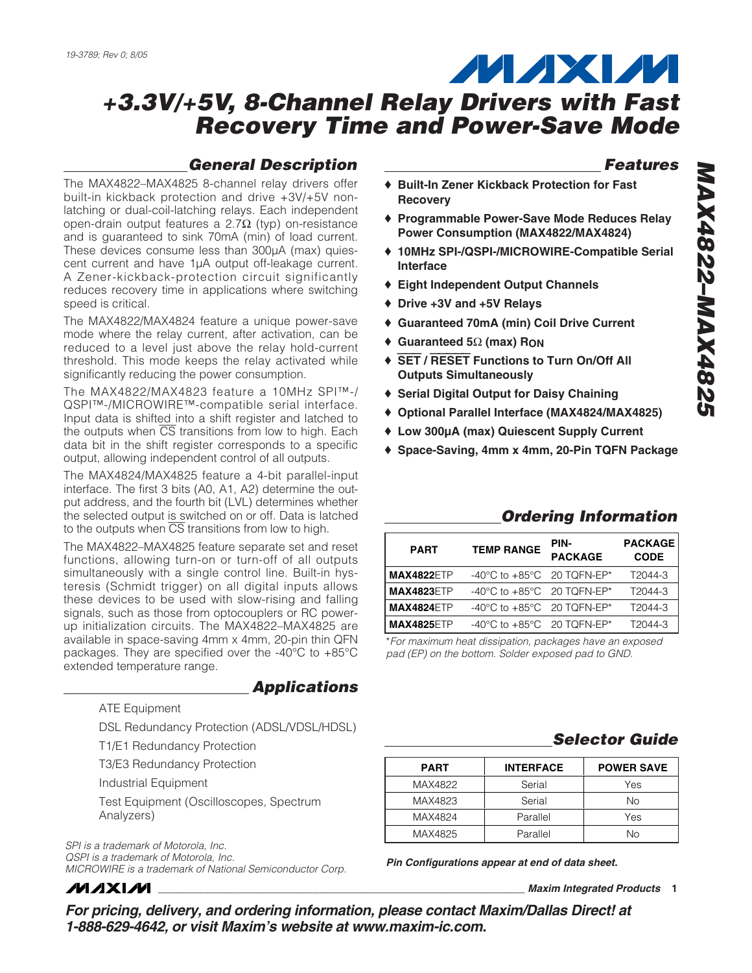## *General Description*

The MAX4822–MAX4825 8-channel relay drivers offer built-in kickback protection and drive +3V/+5V nonlatching or dual-coil-latching relays. Each independent open-drain output features a 2.7Ω (typ) on-resistance and is guaranteed to sink 70mA (min) of load current. These devices consume less than 300µA (max) quiescent current and have 1µA output off-leakage current. A Zener-kickback-protection circuit significantly reduces recovery time in applications where switching speed is critical.

The MAX4822/MAX4824 feature a unique power-save mode where the relay current, after activation, can be reduced to a level just above the relay hold-current threshold. This mode keeps the relay activated while significantly reducing the power consumption.

The MAX4822/MAX4823 feature a 10MHz SPI™-/ QSPI™-/MICROWIRE™-compatible serial interface. Input data is shifted into a shift register and latched to the outputs when  $\overline{CS}$  transitions from low to high. Each data bit in the shift register corresponds to a specific output, allowing independent control of all outputs.

The MAX4824/MAX4825 feature a 4-bit parallel-input interface. The first 3 bits (A0, A1, A2) determine the output address, and the fourth bit (LVL) determines whether the selected output is switched on or off. Data is latched to the outputs when  $\overline{CS}$  transitions from low to high.

The MAX4822–MAX4825 feature separate set and reset functions, allowing turn-on or turn-off of all outputs simultaneously with a single control line. Built-in hysteresis (Schmidt trigger) on all digital inputs allows these devices to be used with slow-rising and falling signals, such as those from optocouplers or RC powerup initialization circuits. The MAX4822–MAX4825 are available in space-saving 4mm x 4mm, 20-pin thin QFN packages. They are specified over the -40°C to +85°C extended temperature range.

ATE Equipment

DSL Redundancy Protection (ADSL/VDSL/HDSL)

*Applications*

T1/E1 Redundancy Protection

T3/E3 Redundancy Protection

Industrial Equipment

Test Equipment (Oscilloscopes, Spectrum Analyzers)

*SPI is a trademark of Motorola, Inc. QSPI is a trademark of Motorola, Inc. MICROWIRE is a trademark of National Semiconductor Corp.*

*MAXM* 

#### *Features*

- ♦ **Built-In Zener Kickback Protection for Fast Recovery**
- ♦ **Programmable Power-Save Mode Reduces Relay Power Consumption (MAX4822/MAX4824)**
- ♦ **10MHz SPI-/QSPI-/MICROWIRE-Compatible Serial Interface**
- ♦ **Eight Independent Output Channels**
- ♦ **Drive +3V and +5V Relays**
- ♦ **Guaranteed 70mA (min) Coil Drive Current**
- ♦ **Guaranteed 5**Ω **(max) RON**
- ♦ SET **/** RESET **Functions to Turn On/Off All Outputs Simultaneously**
- ♦ **Serial Digital Output for Daisy Chaining**
- ♦ **Optional Parallel Interface (MAX4824/MAX4825)**
- ♦ **Low 300µA (max) Quiescent Supply Current**
- ♦ **Space-Saving, 4mm x 4mm, 20-Pin TQFN Package**

## *Ordering Information*

| <b>PART</b>       | <b>TEMP RANGE</b>                                | PIN-<br><b>PACKAGE</b> | <b>PACKAGE</b><br><b>CODE</b> |  |
|-------------------|--------------------------------------------------|------------------------|-------------------------------|--|
| <b>MAX4822ETP</b> | -40 $^{\circ}$ C to +85 $^{\circ}$ C 20 TQFN-EP* |                        | T2044-3                       |  |
| <b>MAX4823ETP</b> | $-40^{\circ}$ C to $+85^{\circ}$ C 20 TOFN-EP*   |                        | T2044-3                       |  |
| <b>MAX4824ETP</b> | -40 $^{\circ}$ C to +85 $^{\circ}$ C 20 TQFN-EP* |                        | T2044-3                       |  |
| <b>MAX4825ETP</b> | -40 $^{\circ}$ C to +85 $^{\circ}$ C 20 TQFN-EP* |                        | T2044-3                       |  |

\**For maximum heat dissipation, packages have an exposed pad (EP) on the bottom. Solder exposed pad to GND.*

## *Selector Guide*

| <b>PART</b> | <b>INTERFACE</b> | <b>POWER SAVE</b> |
|-------------|------------------|-------------------|
| MAX4822     | Serial           | Yes               |
| MAX4823     | Serial           | Nο                |
| MAX4824     | Parallel         | Yes               |
| MAX4825     | Parallel         | Nο                |

*Pin Configurations appear at end of data sheet.*

**\_\_\_\_\_\_\_\_\_\_\_\_\_\_\_\_\_\_\_\_\_\_\_\_\_\_\_\_\_\_\_\_\_\_\_\_\_\_\_\_\_\_\_\_\_\_\_\_\_\_\_\_\_\_\_\_\_\_\_\_\_\_\_\_** *Maxim Integrated Products* **1**

*For pricing, delivery, and ordering information, please contact Maxim/Dallas Direct! at 1-888-629-4642, or visit Maxim's website at www.maxim-ic.com.*

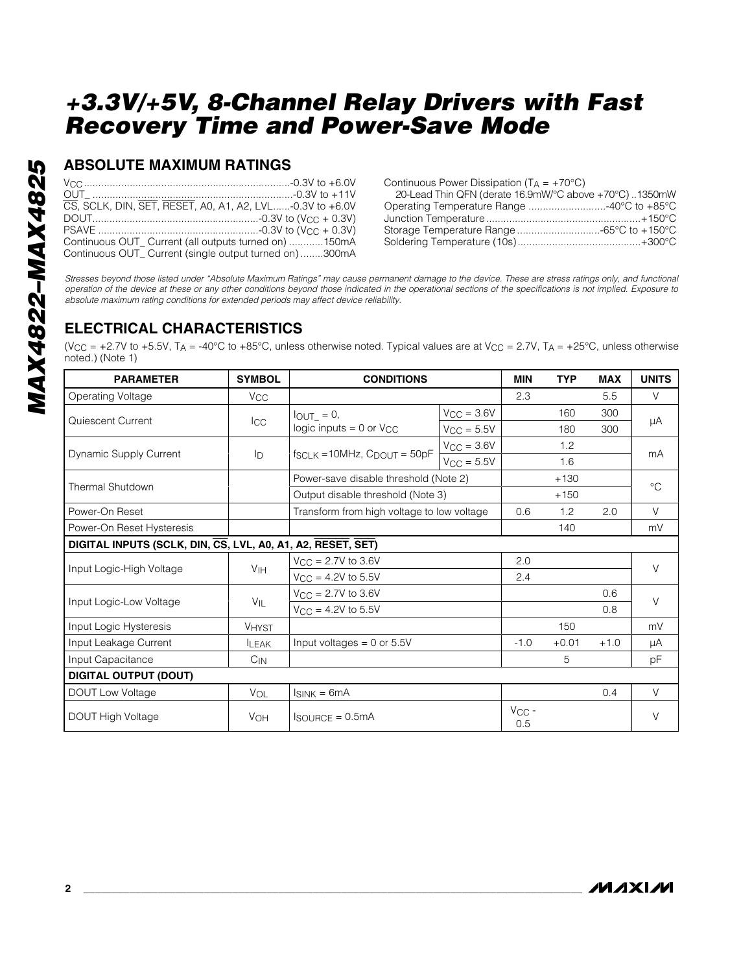## **ABSOLUTE MAXIMUM RATINGS**

| CS. SCLK, DIN, SET, RESET, A0, A1, A2, LVL-0.3V to +6.0V |
|----------------------------------------------------------|
|                                                          |
|                                                          |
| Continuous OUT Current (all outputs turned on) 150mA     |
| Continuous OUT_ Current (single output turned on) 300mA  |

Continuous Power Dissipation  $(T_A = +70^{\circ}C)$ 

| 20-Lead Thin QFN (derate 16.9mW/°C above +70°C)1350mW |  |
|-------------------------------------------------------|--|
| Operating Temperature Range 40°C to +85°C             |  |
|                                                       |  |
|                                                       |  |
|                                                       |  |

*Stresses beyond those listed under "Absolute Maximum Ratings" may cause permanent damage to the device. These are stress ratings only, and functional operation of the device at these or any other conditions beyond those indicated in the operational sections of the specifications is not implied. Exposure to absolute maximum rating conditions for extended periods may affect device reliability.*

## **ELECTRICAL CHARACTERISTICS**

(V<sub>CC</sub> = +2.7V to +5.5V, T<sub>A</sub> = -40°C to +85°C, unless otherwise noted. Typical values are at V<sub>CC</sub> = 2.7V, T<sub>A</sub> = +25°C, unless otherwise noted.) (Note 1)

| <b>PARAMETER</b>                                            | <b>SYMBOL</b>         | <b>CONDITIONS</b>                                      |                        | <b>MIN</b>        | <b>TYP</b> | <b>MAX</b> | <b>UNITS</b> |
|-------------------------------------------------------------|-----------------------|--------------------------------------------------------|------------------------|-------------------|------------|------------|--------------|
| Operating Voltage                                           | <b>V<sub>CC</sub></b> |                                                        |                        | 2.3               |            | 5.5        | $\vee$       |
|                                                             |                       | $I_{OUT} = 0$ ,                                        | $V_{CC} = 3.6V$        |                   | 160        | 300        |              |
| Quiescent Current                                           | $_{\rm{ICC}}$         | logic inputs $= 0$ or $V_{CC}$                         | $V_{\rm CC} = 5.5V$    |                   | 180        | 300        | μA           |
|                                                             |                       |                                                        | $V_{CC} = 3.6V$        |                   | 1.2        |            |              |
| Dynamic Supply Current                                      | ID                    | $f_{SCLK} = 10 MHz$ , $C_{DOUT} = 50pF$                | $V_{\text{CC}} = 5.5V$ |                   | 1.6        |            | mA           |
| <b>Thermal Shutdown</b>                                     |                       | Power-save disable threshold (Note 2)                  |                        |                   | $+130$     |            | $^{\circ}C$  |
|                                                             |                       | Output disable threshold (Note 3)                      |                        |                   | $+150$     |            |              |
| Power-On Reset                                              |                       | Transform from high voltage to low voltage             |                        | 0.6               | 1.2        | 2.0        | $\vee$       |
| Power-On Reset Hysteresis                                   |                       |                                                        |                        |                   | 140        |            | mV           |
| DIGITAL INPUTS (SCLK, DIN, CS, LVL, A0, A1, A2, RESET, SET) |                       |                                                        |                        |                   |            |            |              |
| Input Logic-High Voltage                                    |                       | $V_{\rm CC} = 2.7V$ to 3.6V<br>$V_{CC} = 4.2V$ to 5.5V |                        | 2.0               |            |            | $\vee$       |
|                                                             | V <sub>IH</sub>       |                                                        |                        | 2.4               |            |            |              |
| Input Logic-Low Voltage                                     | $V_{IL}$              | $V_{CC} = 2.7V$ to 3.6V                                |                        |                   |            | 0.6        | $\vee$       |
|                                                             |                       | $V_{CC} = 4.2V$ to 5.5V                                |                        |                   |            | 0.8        |              |
| Input Logic Hysteresis                                      | <b>VHYST</b>          |                                                        |                        |                   | 150        |            | mV           |
| Input Leakage Current                                       | <b>LEAK</b>           | Input voltages = $0$ or $5.5V$                         |                        | $-1.0$            | $+0.01$    | $+1.0$     | μA           |
| Input Capacitance                                           | $C_{IN}$              |                                                        |                        |                   | 5          |            | pF           |
| <b>DIGITAL OUTPUT (DOUT)</b>                                |                       |                                                        |                        |                   |            |            |              |
| <b>DOUT Low Voltage</b>                                     | <b>VOL</b>            | $I_{SINK} = 6mA$                                       |                        |                   |            | 0.4        | $\vee$       |
| <b>DOUT High Voltage</b>                                    | <b>VOH</b>            | $I_{\text{SOLIRCE}} = 0.5 \text{mA}$                   |                        | $V_{CC}$ -<br>0.5 |            |            | V            |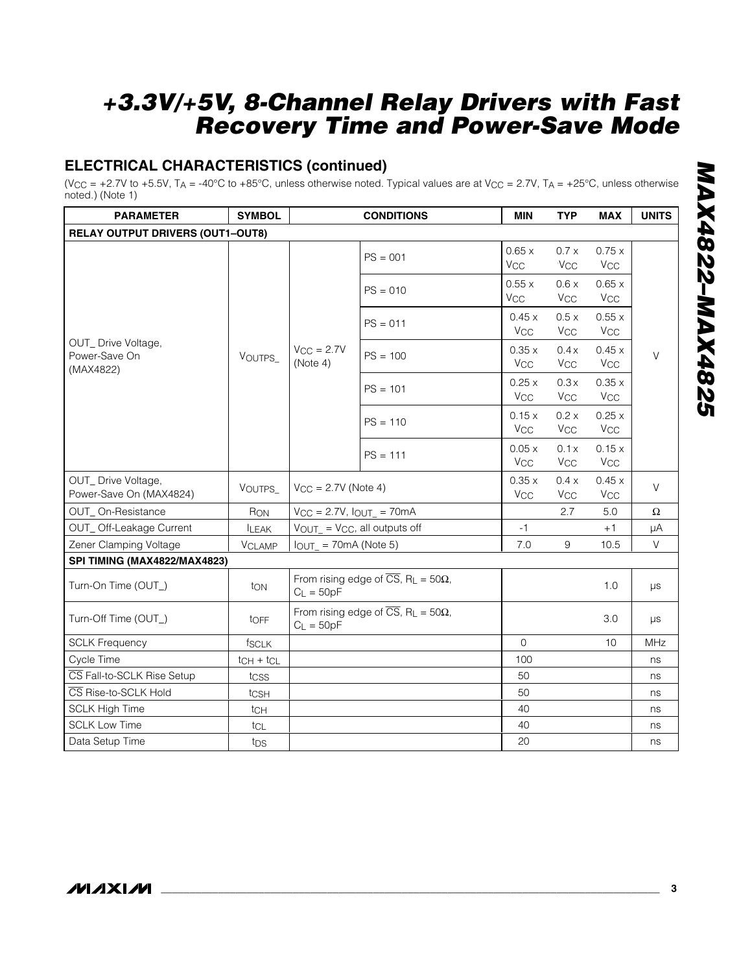## **ELECTRICAL CHARACTERISTICS (continued)**

(V<sub>CC</sub> = +2.7V to +5.5V, T<sub>A</sub> = -40°C to +85°C, unless otherwise noted. Typical values are at V<sub>CC</sub> = 2.7V, T<sub>A</sub> = +25°C, unless otherwise noted.) (Note 1)

| <b>PARAMETER</b>                                  | <b>SYMBOL</b>   |                             | <b>CONDITIONS</b>                                                    | <b>MIN</b>                     | <b>TYP</b>                     | <b>MAX</b>                     | <b>UNITS</b> |
|---------------------------------------------------|-----------------|-----------------------------|----------------------------------------------------------------------|--------------------------------|--------------------------------|--------------------------------|--------------|
| <b>RELAY OUTPUT DRIVERS (OUT1-OUT8)</b>           |                 |                             |                                                                      |                                |                                |                                |              |
|                                                   |                 |                             | $PS = 001$                                                           | 0.65x<br>$V_{\rm CC}$          | 0.7 x<br><b>V<sub>CC</sub></b> | 0.75x<br><b>V<sub>CC</sub></b> |              |
|                                                   |                 |                             | $PS = 010$                                                           | 0.55x<br><b>V<sub>CC</sub></b> | 0.6x<br><b>V<sub>CC</sub></b>  | 0.65x<br><b>V<sub>CC</sub></b> |              |
|                                                   |                 |                             | $PS = 011$                                                           | 0.45x<br><b>V<sub>CC</sub></b> | 0.5x<br><b>V<sub>CC</sub></b>  | 0.55x<br><b>V<sub>CC</sub></b> |              |
| OUT_ Drive Voltage,<br>Power-Save On<br>(MAX4822) | VOUTPS_         | $V_{CC} = 2.7V$<br>(Note 4) | $PS = 100$                                                           | 0.35x<br><b>V<sub>CC</sub></b> | 0.4x<br><b>V<sub>CC</sub></b>  | 0.45x<br><b>V<sub>CC</sub></b> | V            |
|                                                   |                 |                             | $PS = 101$                                                           | 0.25x<br><b>V<sub>CC</sub></b> | 0.3x<br><b>V<sub>CC</sub></b>  | 0.35x<br><b>V<sub>CC</sub></b> |              |
|                                                   |                 |                             | $PS = 110$                                                           | 0.15x<br><b>V<sub>CC</sub></b> | 0.2 x<br><b>V<sub>CC</sub></b> | 0.25x<br><b>V<sub>CC</sub></b> |              |
|                                                   |                 |                             | $PS = 111$                                                           | 0.05x<br><b>V<sub>CC</sub></b> | 0.1x<br><b>V<sub>CC</sub></b>  | 0.15x<br><b>V<sub>CC</sub></b> |              |
| OUT_Drive Voltage,<br>Power-Save On (MAX4824)     | VOUTPS_         | $V_{CC} = 2.7V$ (Note 4)    |                                                                      | 0.35x<br><b>V<sub>CC</sub></b> | 0.4 x<br><b>V<sub>CC</sub></b> | 0.45x<br><b>V<sub>CC</sub></b> | V            |
| OUT_On-Resistance                                 | RON             |                             | $V_{CC} = 2.7V$ , $I_{OUT} = 70mA$                                   |                                | 2.7                            | 5.0                            | $\Omega$     |
| OUT_Off-Leakage Current                           | <b>ILEAK</b>    |                             | $V_{OUT} = V_{CC}$ , all outputs off                                 | $-1$                           |                                | $+1$                           | $\mu A$      |
| Zener Clamping Voltage                            | <b>VCLAMP</b>   | $I_{OUT}$ = 70mA (Note 5)   |                                                                      | 7.0                            | 9                              | 10.5                           | $\vee$       |
| SPI TIMING (MAX4822/MAX4823)                      |                 |                             |                                                                      |                                |                                |                                |              |
| Turn-On Time (OUT_)                               | ton             | $C_L = 50pF$                | From rising edge of $\overline{CS}$ , R <sub>L</sub> = 50 $\Omega$ , |                                |                                | 1.0                            | μs           |
| Turn-Off Time (OUT_)                              | toFF            | $C_L = 50pF$                | From rising edge of $\overline{CS}$ , R <sub>L</sub> = 50 $\Omega$ , |                                |                                | 3.0                            | μs           |
| <b>SCLK Frequency</b>                             | fsclk           |                             |                                                                      | $\mathbf 0$                    |                                | 10                             | MHz          |
| Cycle Time                                        | $tCH + tCL$     |                             |                                                                      | 100                            |                                |                                | ns           |
| CS Fall-to-SCLK Rise Setup                        | tcss            |                             |                                                                      | 50                             |                                |                                | ns           |
| CS Rise-to-SCLK Hold                              | tcsH            |                             |                                                                      | 50                             |                                |                                | ns           |
| <b>SCLK High Time</b>                             | tcH             |                             |                                                                      | 40                             |                                |                                | ns           |
| <b>SCLK Low Time</b>                              | tcL             |                             |                                                                      | 40                             |                                |                                | ns           |
| Data Setup Time                                   | t <sub>DS</sub> |                             |                                                                      | 20                             |                                |                                | ns           |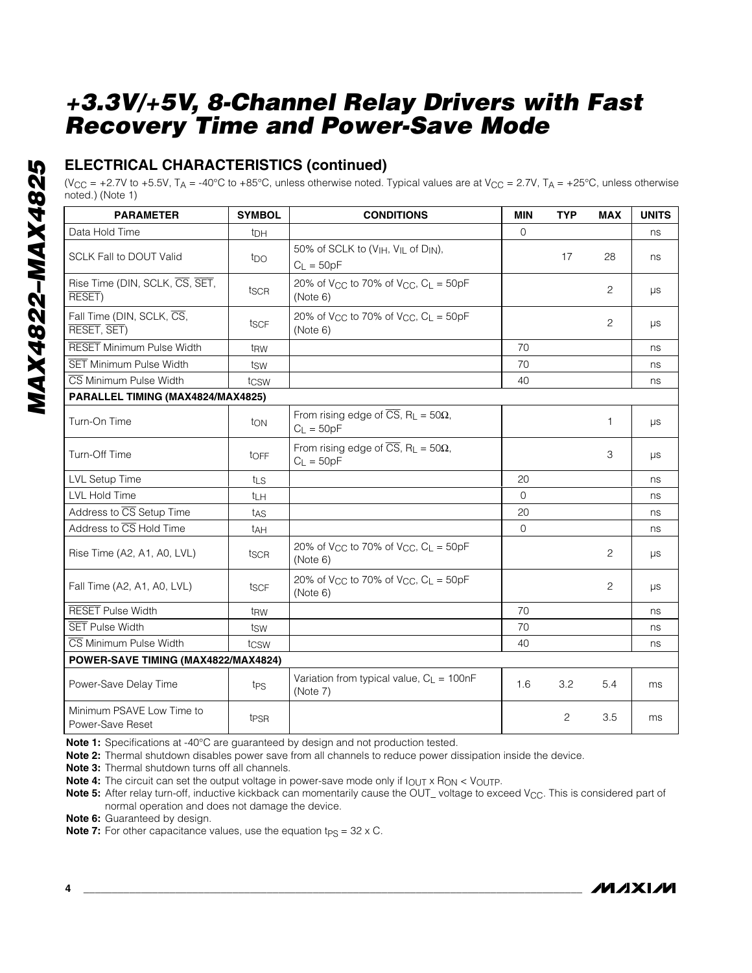## **ELECTRICAL CHARACTERISTICS (continued)**

(V<sub>CC</sub> = +2.7V to +5.5V, T<sub>A</sub> = -40°C to +85°C, unless otherwise noted. Typical values are at V<sub>CC</sub> = 2.7V, T<sub>A</sub> = +25°C, unless otherwise noted.) (Note 1)

| <b>PARAMETER</b>                              | <b>SYMBOL</b>    | <b>CONDITIONS</b>                                                                    | <b>MIN</b> | <b>TYP</b> | <b>MAX</b>     | <b>UNITS</b> |
|-----------------------------------------------|------------------|--------------------------------------------------------------------------------------|------------|------------|----------------|--------------|
| Data Hold Time                                | t <sub>DH</sub>  |                                                                                      | $\Omega$   |            |                | ns           |
| <b>SCLK Fall to DOUT Valid</b>                | tpo              | 50% of SCLK to (VIH, VIL of DIN),<br>$C_L = 50pF$                                    |            | 17         | 28             | ns           |
| Rise Time (DIN, SCLK, CS, SET,<br>RESET)      | tscr             | 20% of V <sub>CC</sub> to 70% of V <sub>CC</sub> , $C_L = 50pF$<br>(Note 6)          |            |            | $\overline{c}$ | μs           |
| Fall Time (DIN, SCLK, CS,<br>RESET, SET)      | tscF             | 20% of V <sub>CC</sub> to 70% of V <sub>CC</sub> , $C_1 = 50pF$<br>(Note 6)          |            |            | 2              | $\mu s$      |
| <b>RESET Minimum Pulse Width</b>              | t <sub>RW</sub>  |                                                                                      | 70         |            |                | ns           |
| <b>SET Minimum Pulse Width</b>                | tsw              |                                                                                      | 70         |            |                | ns           |
| CS Minimum Pulse Width                        | tcsw             |                                                                                      | 40         |            |                | ns           |
| PARALLEL TIMING (MAX4824/MAX4825)             |                  |                                                                                      |            |            |                |              |
| Turn-On Time                                  | ton              | From rising edge of $\overline{CS}$ , R <sub>L</sub> = 50 $\Omega$ ,<br>$C_L = 50pF$ |            |            | 1              | μs           |
| Turn-Off Time                                 | toFF             | From rising edge of $\overline{CS}$ , R <sub>L</sub> = 50 $\Omega$ ,<br>$C_L = 50pF$ |            |            | 3              | $\mu s$      |
| <b>LVL Setup Time</b>                         | tLS              |                                                                                      | 20         |            |                | ns           |
| <b>LVL Hold Time</b>                          | tμH              |                                                                                      | $\Omega$   |            |                | ns           |
| Address to CS Setup Time                      | t <sub>AS</sub>  |                                                                                      | 20         |            |                | ns           |
| Address to CS Hold Time                       | t <sub>AH</sub>  |                                                                                      | $\Omega$   |            |                | ns           |
| Rise Time (A2, A1, A0, LVL)                   | tscr             | 20% of V <sub>CC</sub> to 70% of V <sub>CC</sub> , $C_L = 50pF$<br>(Note 6)          |            |            | $\overline{c}$ | μs           |
| Fall Time (A2, A1, A0, LVL)                   | tscF             | 20% of V <sub>CC</sub> to 70% of V <sub>CC</sub> , $C_L = 50pF$<br>(Note 6)          |            |            | $\overline{c}$ | $\mu s$      |
| <b>RESET Pulse Width</b>                      | t <sub>RW</sub>  |                                                                                      | 70         |            |                | ns           |
| <b>SET Pulse Width</b>                        | tsw              |                                                                                      | 70         |            |                | ns           |
| CS Minimum Pulse Width                        | tcsw             |                                                                                      | 40         |            |                | ns           |
| POWER-SAVE TIMING (MAX4822/MAX4824)           |                  |                                                                                      |            |            |                |              |
| Power-Save Delay Time                         | t <sub>PS</sub>  | Variation from typical value, $C_L = 100nF$<br>(Note 7)                              | 1.6        | 3.2        | 5.4            | ms           |
| Minimum PSAVE Low Time to<br>Power-Save Reset | t <sub>PSR</sub> |                                                                                      |            | 2          | 3.5            | ms           |

**Note 1:** Specifications at -40°C are guaranteed by design and not production tested.

**Note 2:** Thermal shutdown disables power save from all channels to reduce power dissipation inside the device.

**Note 3:** Thermal shutdown turns off all channels.

**Note 4:** The circuit can set the output voltage in power-save mode only if  $I_{\text{OUT}} \times R_{\text{ON}} < V_{\text{OUT}}$  p.

Note 5: After relay turn-off, inductive kickback can momentarily cause the OUT\_voltage to exceed V<sub>CC</sub>. This is considered part of normal operation and does not damage the device.

**Note 6:** Guaranteed by design.

**Note 7:** For other capacitance values, use the equation t<sub>PS</sub> =  $32 \times C$ .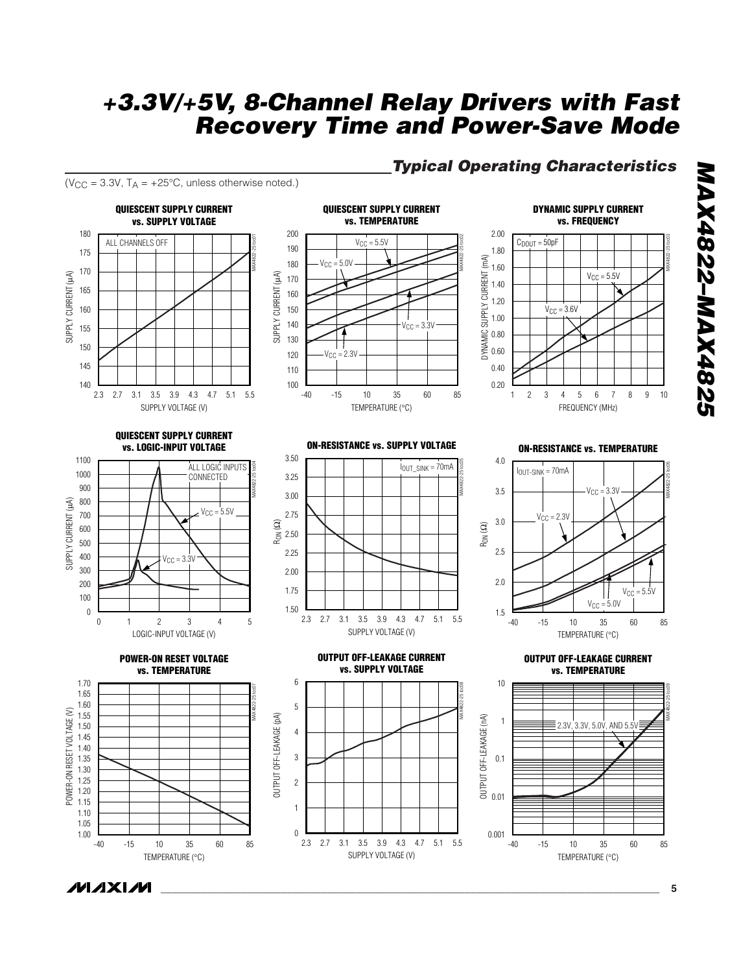## *Typical Operating Characteristics*

( $V_{CC}$  = 3.3V,  $T_A$  = +25°C, unless otherwise noted.)



# **7287XVW-7287XVW** *MAX4822–MAX4825*

MAX4822-25 toc03

MAX4822-25 toc06

/VI*/*IXI*/*VI

MAX4822-25 toc09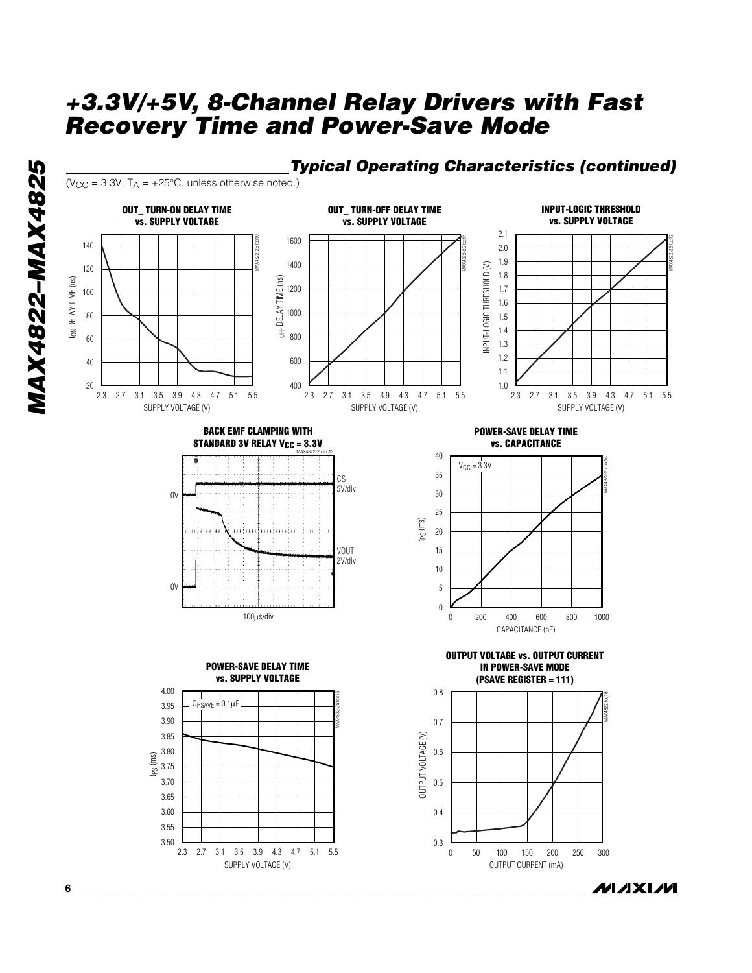

#### *Typical Operating Characteristics (continued)* ( $V_{CC}$  = 3.3V,  $T_A$  = +25°C, unless otherwise noted.) **INPUT-LOGIC THRESHOLD OUT\_ TURN-ON DELAY TIME OUT\_ TURN-OFF DELAY TIME vs. SUPPLY VOLTAGE vs. SUPPLY VOLTAGE vs. SUPPLY VOLTAGE** 2.1 MAX4822-25 toc10 1600 MAX4822-25 toc11 140 2.0 1.9 1400 INPUT-LOGIC THRESHOLD (V) 120 INPUT-LOGIC THRESHOLD (V) 1.8 I<sub>ON</sub> DELAY TIME (ns) IOFF DELAY TIME (ns) ION DELAY TIME (ns) DELAY TIME (ns) 1200 1.7 100 1.6 1000 80 1.5 1.4 造 800 60 1.3 1.2 40 600 1.1 20 400 1.0 2.3 2.7 3.1 3.5 3.9 4.3 4.7 5.1 5.5 2.7 3.1 3.5 3.9 4.3 4.7 2.3 2.7 3.1 3.5 3.9 4.3 4.7 5.1 5.5 2.7 3.1 3.5 3.9 4.3 4.7 5.1 2.3 5.5 SUPPLY VOLTAGE (V) SUPPLY VOLTAGE (V) SUPPLY VOLTAGE (V) **BACK EMF CLAMPING WITH POWER-SAVE DELAY TIME STANDARD 3V RELAY V<sub>CC</sub> = 3.3V vs. CAPACITANCE** MAX4822-25 toc13 40 MAX4822-25 toc14  $V_{CC} = 3.3V$ 35  $\overline{C}$ 5V/div 30  $0V$ 25 tPS (ms) 20 VOUT 15 2V/div 10 0V 5 0 100µs/div 200 400 600 800 0 200 400 600 800 1000 CAPACITANCE (nF) **OUTPUT VOLTAGE vs. OUTPUT CURRENT POWER-SAVE DELAY TIME**





**IN POWER-SAVE MODE**



**MAXIM** 

MAX4822-25 toc12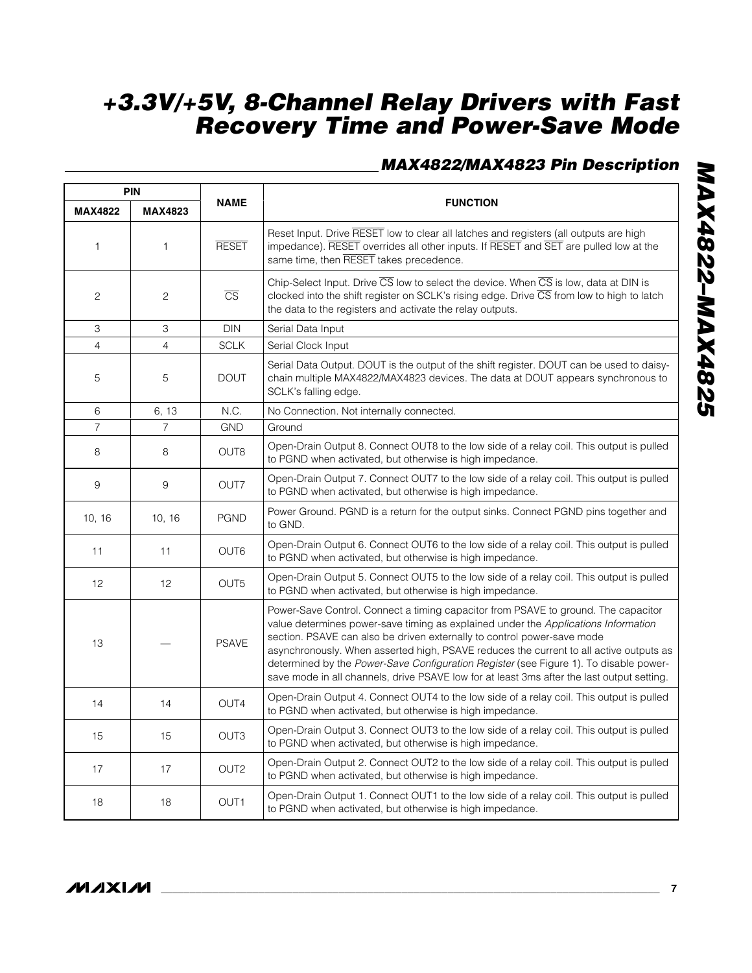## *MAX4822/MAX4823 Pin Description*

| <b>PIN</b>     |                |                        |                                                                                                                                                                                                                                                                                                                                                                                                                                                                                                                                      |  |  |
|----------------|----------------|------------------------|--------------------------------------------------------------------------------------------------------------------------------------------------------------------------------------------------------------------------------------------------------------------------------------------------------------------------------------------------------------------------------------------------------------------------------------------------------------------------------------------------------------------------------------|--|--|
| <b>MAX4822</b> | <b>MAX4823</b> | <b>NAME</b>            | <b>FUNCTION</b>                                                                                                                                                                                                                                                                                                                                                                                                                                                                                                                      |  |  |
| 1              | 1              | <b>RESET</b>           | Reset Input. Drive RESET low to clear all latches and registers (all outputs are high<br>impedance). RESET overrides all other inputs. If RESET and SET are pulled low at the<br>same time, then RESET takes precedence.                                                                                                                                                                                                                                                                                                             |  |  |
| $\overline{c}$ | 2              | $\overline{\text{CS}}$ | Chip-Select Input. Drive CS low to select the device. When CS is low, data at DIN is<br>clocked into the shift register on SCLK's rising edge. Drive CS from low to high to latch<br>the data to the registers and activate the relay outputs.                                                                                                                                                                                                                                                                                       |  |  |
| 3              | 3              | <b>DIN</b>             | Serial Data Input                                                                                                                                                                                                                                                                                                                                                                                                                                                                                                                    |  |  |
| $\overline{4}$ | $\overline{4}$ | <b>SCLK</b>            | Serial Clock Input                                                                                                                                                                                                                                                                                                                                                                                                                                                                                                                   |  |  |
| 5              | 5              | <b>DOUT</b>            | Serial Data Output. DOUT is the output of the shift register. DOUT can be used to daisy-<br>chain multiple MAX4822/MAX4823 devices. The data at DOUT appears synchronous to<br>SCLK's falling edge.                                                                                                                                                                                                                                                                                                                                  |  |  |
| 6              | 6, 13          | N.C.                   | No Connection. Not internally connected.                                                                                                                                                                                                                                                                                                                                                                                                                                                                                             |  |  |
| $\overline{7}$ | $\overline{7}$ | <b>GND</b>             | Ground                                                                                                                                                                                                                                                                                                                                                                                                                                                                                                                               |  |  |
| 8              | 8              | OUT <sub>8</sub>       | Open-Drain Output 8. Connect OUT8 to the low side of a relay coil. This output is pulled<br>to PGND when activated, but otherwise is high impedance.                                                                                                                                                                                                                                                                                                                                                                                 |  |  |
| 9              | 9              | OUT7                   | Open-Drain Output 7. Connect OUT7 to the low side of a relay coil. This output is pulled<br>to PGND when activated, but otherwise is high impedance.                                                                                                                                                                                                                                                                                                                                                                                 |  |  |
| 10, 16         | 10, 16         | <b>PGND</b>            | Power Ground. PGND is a return for the output sinks. Connect PGND pins together and<br>to GND.                                                                                                                                                                                                                                                                                                                                                                                                                                       |  |  |
| 11             | 11             | OUT6                   | Open-Drain Output 6. Connect OUT6 to the low side of a relay coil. This output is pulled<br>to PGND when activated, but otherwise is high impedance.                                                                                                                                                                                                                                                                                                                                                                                 |  |  |
| 12             | 12             | OUT <sub>5</sub>       | Open-Drain Output 5. Connect OUT5 to the low side of a relay coil. This output is pulled<br>to PGND when activated, but otherwise is high impedance.                                                                                                                                                                                                                                                                                                                                                                                 |  |  |
| 13             |                | <b>PSAVE</b>           | Power-Save Control. Connect a timing capacitor from PSAVE to ground. The capacitor<br>value determines power-save timing as explained under the Applications Information<br>section. PSAVE can also be driven externally to control power-save mode<br>asynchronously. When asserted high, PSAVE reduces the current to all active outputs as<br>determined by the Power-Save Configuration Register (see Figure 1). To disable power-<br>save mode in all channels, drive PSAVE low for at least 3ms after the last output setting. |  |  |
| 14             | 14             | OUT4                   | Open-Drain Output 4. Connect OUT4 to the low side of a relay coil. This output is pulled<br>to PGND when activated, but otherwise is high impedance.                                                                                                                                                                                                                                                                                                                                                                                 |  |  |
| 15             | 15             | OUT <sub>3</sub>       | Open-Drain Output 3. Connect OUT3 to the low side of a relay coil. This output is pulled<br>to PGND when activated, but otherwise is high impedance.                                                                                                                                                                                                                                                                                                                                                                                 |  |  |
| 17             | 17             | OUT <sub>2</sub>       | Open-Drain Output 2. Connect OUT2 to the low side of a relay coil. This output is pulled<br>to PGND when activated, but otherwise is high impedance.                                                                                                                                                                                                                                                                                                                                                                                 |  |  |
| 18             | 18             | OUT <sub>1</sub>       | Open-Drain Output 1. Connect OUT1 to the low side of a relay coil. This output is pulled<br>to PGND when activated, but otherwise is high impedance.                                                                                                                                                                                                                                                                                                                                                                                 |  |  |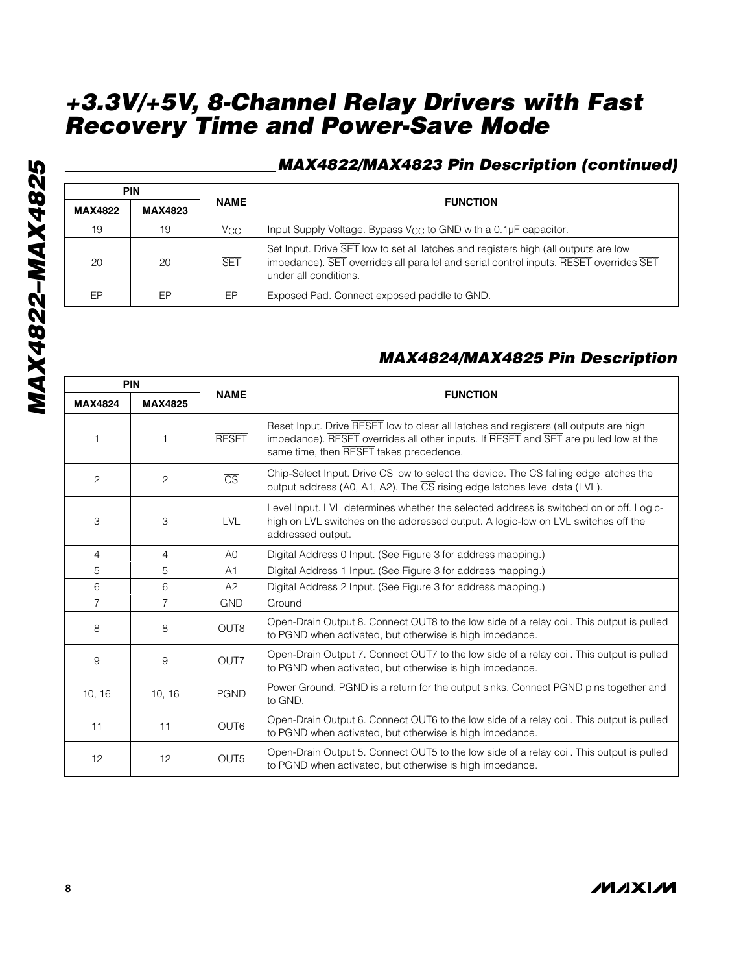|                | <b>PIN</b>     |                 |                                                                                                                                                                                                       |
|----------------|----------------|-----------------|-------------------------------------------------------------------------------------------------------------------------------------------------------------------------------------------------------|
| <b>MAX4822</b> | <b>MAX4823</b> | <b>NAME</b>     | <b>FUNCTION</b>                                                                                                                                                                                       |
| 19             | 19             | V <sub>CC</sub> | Input Supply Voltage. Bypass $V_{CC}$ to GND with a 0.1 $\mu$ F capacitor.                                                                                                                            |
| 20             | 20             | <b>SET</b>      | Set Input. Drive SET low to set all latches and registers high (all outputs are low<br>impedance). SET overrides all parallel and serial control inputs. RESET overrides SET<br>under all conditions. |
| FP             | EР             | EP              | Exposed Pad. Connect exposed paddle to GND.                                                                                                                                                           |

## *MAX4824/MAX4825 Pin Description*

| <b>PIN</b>     |                |                        |                                                                                                                                                                                                                          |  |  |
|----------------|----------------|------------------------|--------------------------------------------------------------------------------------------------------------------------------------------------------------------------------------------------------------------------|--|--|
| <b>MAX4824</b> | <b>MAX4825</b> | <b>NAME</b>            | <b>FUNCTION</b>                                                                                                                                                                                                          |  |  |
|                |                | <b>RESET</b>           | Reset Input. Drive RESET low to clear all latches and registers (all outputs are high<br>impedance). RESET overrides all other inputs. If RESET and SET are pulled low at the<br>same time, then RESET takes precedence. |  |  |
| 2              | 2              | $\overline{\text{CS}}$ | Chip-Select Input. Drive $\overline{CS}$ low to select the device. The $\overline{CS}$ falling edge latches the<br>output address (A0, A1, A2). The CS rising edge latches level data (LVL).                             |  |  |
| 3              | 3              | <b>LVL</b>             | Level Input. LVL determines whether the selected address is switched on or off. Logic-<br>high on LVL switches on the addressed output. A logic-low on LVL switches off the<br>addressed output.                         |  |  |
| 4              | 4              | A <sub>0</sub>         | Digital Address 0 Input. (See Figure 3 for address mapping.)                                                                                                                                                             |  |  |
| 5              | 5              | A1                     | Digital Address 1 Input. (See Figure 3 for address mapping.)                                                                                                                                                             |  |  |
| 6              | 6              | A2                     | Digital Address 2 Input. (See Figure 3 for address mapping.)                                                                                                                                                             |  |  |
| $\overline{7}$ | $\overline{7}$ | <b>GND</b>             | Ground                                                                                                                                                                                                                   |  |  |
| 8              | 8              | OUT <sub>8</sub>       | Open-Drain Output 8. Connect OUT8 to the low side of a relay coil. This output is pulled<br>to PGND when activated, but otherwise is high impedance.                                                                     |  |  |
| 9              | 9              | OUT7                   | Open-Drain Output 7. Connect OUT7 to the low side of a relay coil. This output is pulled<br>to PGND when activated, but otherwise is high impedance.                                                                     |  |  |
| 10, 16         | 10, 16         | <b>PGND</b>            | Power Ground. PGND is a return for the output sinks. Connect PGND pins together and<br>to GND.                                                                                                                           |  |  |
| 11             | 11             | OUT <sub>6</sub>       | Open-Drain Output 6. Connect OUT6 to the low side of a relay coil. This output is pulled<br>to PGND when activated, but otherwise is high impedance.                                                                     |  |  |
| 12             | 12             | OUT <sub>5</sub>       | Open-Drain Output 5. Connect OUT5 to the low side of a relay coil. This output is pulled<br>to PGND when activated, but otherwise is high impedance.                                                                     |  |  |

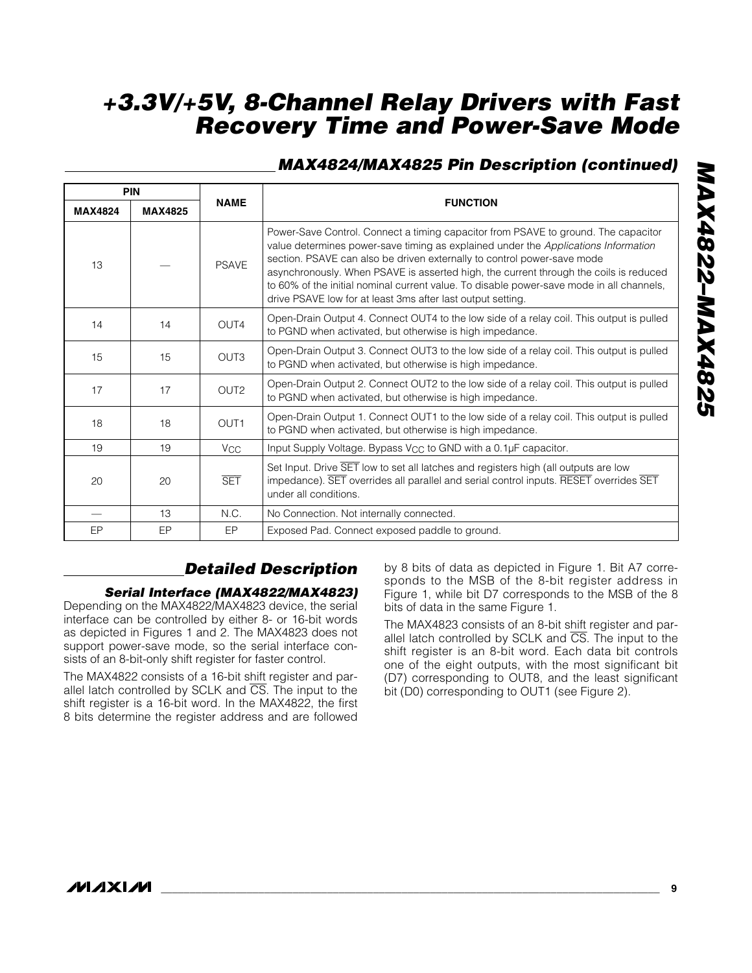## *MAX4824/MAX4825 Pin Description (continued)*

| <b>PIN</b>     |                |                       |                                                                                                                                                                                                                                                                                                                                                                                                                                                                                                         |  |  |
|----------------|----------------|-----------------------|---------------------------------------------------------------------------------------------------------------------------------------------------------------------------------------------------------------------------------------------------------------------------------------------------------------------------------------------------------------------------------------------------------------------------------------------------------------------------------------------------------|--|--|
| <b>MAX4824</b> | <b>MAX4825</b> | <b>NAME</b>           | <b>FUNCTION</b>                                                                                                                                                                                                                                                                                                                                                                                                                                                                                         |  |  |
| 13             |                | <b>PSAVE</b>          | Power-Save Control. Connect a timing capacitor from PSAVE to ground. The capacitor<br>value determines power-save timing as explained under the Applications Information<br>section. PSAVE can also be driven externally to control power-save mode<br>asynchronously. When PSAVE is asserted high, the current through the coils is reduced<br>to 60% of the initial nominal current value. To disable power-save mode in all channels,<br>drive PSAVE low for at least 3ms after last output setting. |  |  |
| 14             | 14             | OUT <sub>4</sub>      | Open-Drain Output 4. Connect OUT4 to the low side of a relay coil. This output is pulled<br>to PGND when activated, but otherwise is high impedance.                                                                                                                                                                                                                                                                                                                                                    |  |  |
| 15             | 15             | OUT <sub>3</sub>      | Open-Drain Output 3. Connect OUT3 to the low side of a relay coil. This output is pulled<br>to PGND when activated, but otherwise is high impedance.                                                                                                                                                                                                                                                                                                                                                    |  |  |
| 17             | 17             | OUT <sub>2</sub>      | Open-Drain Output 2. Connect OUT2 to the low side of a relay coil. This output is pulled<br>to PGND when activated, but otherwise is high impedance.                                                                                                                                                                                                                                                                                                                                                    |  |  |
| 18             | 18             | OUT <sub>1</sub>      | Open-Drain Output 1. Connect OUT1 to the low side of a relay coil. This output is pulled<br>to PGND when activated, but otherwise is high impedance.                                                                                                                                                                                                                                                                                                                                                    |  |  |
| 19             | 19             | <b>V<sub>CC</sub></b> | Input Supply Voltage. Bypass V <sub>CC</sub> to GND with a 0.1µF capacitor.                                                                                                                                                                                                                                                                                                                                                                                                                             |  |  |
| 20             | 20             | <b>SET</b>            | Set Input. Drive SET low to set all latches and registers high (all outputs are low<br>impedance). SET overrides all parallel and serial control inputs. RESET overrides SET<br>under all conditions.                                                                                                                                                                                                                                                                                                   |  |  |
|                | 13             | N.C.                  | No Connection. Not internally connected.                                                                                                                                                                                                                                                                                                                                                                                                                                                                |  |  |
| EP             | EP             | EP                    | Exposed Pad. Connect exposed paddle to ground.                                                                                                                                                                                                                                                                                                                                                                                                                                                          |  |  |

## *Detailed Description*

#### *Serial Interface (MAX4822/MAX4823)*

Depending on the MAX4822/MAX4823 device, the serial interface can be controlled by either 8- or 16-bit words as depicted in Figures 1 and 2. The MAX4823 does not support power-save mode, so the serial interface consists of an 8-bit-only shift register for faster control.

The MAX4822 consists of a 16-bit shift register and parallel latch controlled by SCLK and CS. The input to the shift register is a 16-bit word. In the MAX4822, the first 8 bits determine the register address and are followed

by 8 bits of data as depicted in Figure 1. Bit A7 corresponds to the MSB of the 8-bit register address in Figure 1, while bit D7 corresponds to the MSB of the 8 bits of data in the same Figure 1.

The MAX4823 consists of an 8-bit shift register and parallel latch controlled by SCLK and  $\overline{CS}$ . The input to the shift register is an 8-bit word. Each data bit controls one of the eight outputs, with the most significant bit (D7) corresponding to OUT8, and the least significant bit (D0) corresponding to OUT1 (see Figure 2).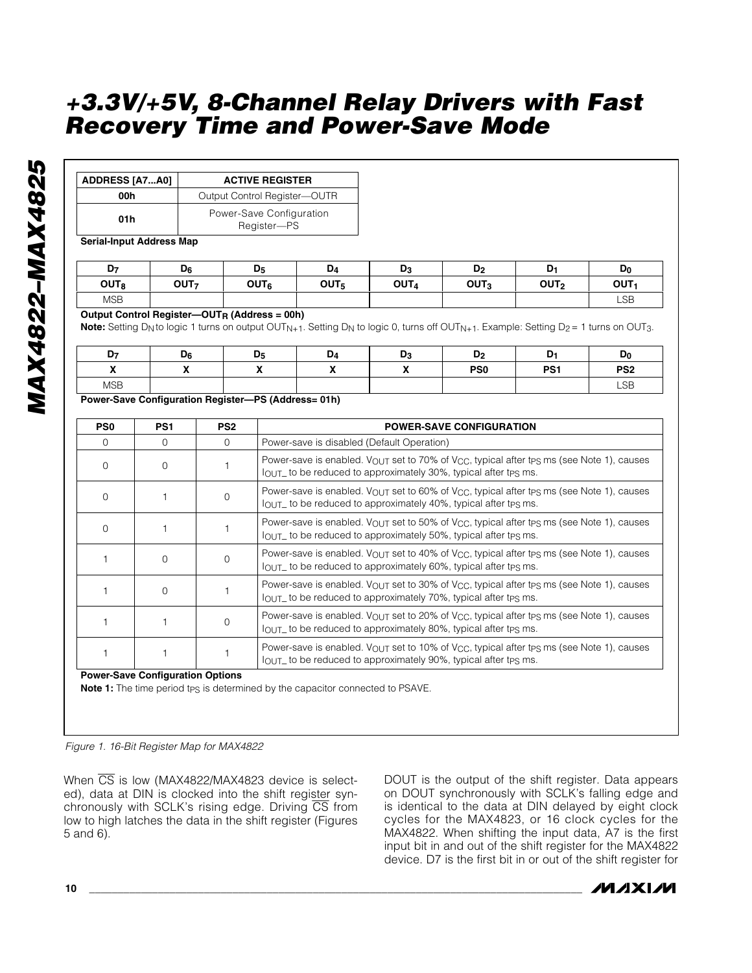| <b>ADDRESS [A7A0]</b> | <b>ACTIVE REGISTER</b>                  |  |  |  |
|-----------------------|-----------------------------------------|--|--|--|
| 00h                   | Output Control Register-OUTR            |  |  |  |
| 01 h                  | Power-Save Configuration<br>Register-PS |  |  |  |

**Serial-Input Address Map**

| D <sub>7</sub>   | $D_6$            | D5               | D <sub>4</sub>   | D <sub>3</sub>   | D <sub>2</sub>   | D۱               | D <sub>0</sub> |
|------------------|------------------|------------------|------------------|------------------|------------------|------------------|----------------|
| OUT <sub>8</sub> | OUT <sub>7</sub> | OUT <sub>6</sub> | OUT <sub>5</sub> | OUT <sub>4</sub> | OUT <sub>3</sub> | OUT <sub>2</sub> | <b>OUT</b>     |
| <b>MSB</b>       |                  |                  |                  |                  |                  |                  | <b>LSB</b>     |

#### **Output Control Register—OUTR (Address = 00h)**

**Note:** Setting D<sub>N</sub> to logic 1 turns on output OUT<sub>N+1</sub>. Setting D<sub>N</sub> to logic 0, turns off OUT<sub>N+1</sub>. Example: Setting D<sub>2</sub> = 1 turns on OUT<sub>3</sub>.

| ъ.         | D <sub>6</sub> | D <sub>5</sub> | D <sub>4</sub> | יש | - 10            | D۰              | D <sub>0</sub>  |
|------------|----------------|----------------|----------------|----|-----------------|-----------------|-----------------|
|            |                |                |                |    | PS <sub>0</sub> | PS <sub>1</sub> | PS <sub>2</sub> |
| <b>MSB</b> |                |                |                |    |                 |                 | LSB             |
|            |                |                |                |    |                 |                 |                 |

#### **Power-Save Configuration Register—PS (Address= 01h)**

| PS <sub>0</sub> | PS <sub>1</sub>                         | PS <sub>2</sub> | <b>POWER-SAVE CONFIGURATION</b>                                                                                                                                                                   |
|-----------------|-----------------------------------------|-----------------|---------------------------------------------------------------------------------------------------------------------------------------------------------------------------------------------------|
| $\Omega$        | $\Omega$                                | $\Omega$        | Power-save is disabled (Default Operation)                                                                                                                                                        |
| $\Omega$        | $\Omega$                                |                 | Power-save is enabled. $V_{\text{OUT}}$ set to 70% of $V_{\text{CC}}$ , typical after tps ms (see Note 1), causes<br>$IOUT$ to be reduced to approximately 30%, typical after tps ms.             |
| U               |                                         | $\Omega$        | Power-save is enabled. $V_{\text{OUT}}$ set to 60% of $V_{\text{CC}}$ , typical after tps ms (see Note 1), causes<br>$IOUT$ to be reduced to approximately 40%, typical after tps ms.             |
| $\Omega$        |                                         |                 | Power-save is enabled. V <sub>OUT</sub> set to 50% of V <sub>CC</sub> , typical after t <sub>PS</sub> ms (see Note 1), causes<br>$IOUT$ to be reduced to approximately 50%, typical after tps ms. |
|                 | $\Omega$                                | $\Omega$        | Power-save is enabled. $V_{\text{OUT}}$ set to 40% of $V_{\text{CC}}$ , typical after tpg ms (see Note 1), causes<br>$I_{\text{OUT}}$ to be reduced to approximately 60%, typical after tps ms.   |
|                 | $\Omega$                                |                 | Power-save is enabled. V <sub>OUT</sub> set to 30% of V <sub>CC</sub> , typical after tps ms (see Note 1), causes<br>$IOUT$ to be reduced to approximately 70%, typical after tps ms.             |
|                 |                                         | $\Omega$        | Power-save is enabled. VOUT set to 20% of VCC, typical after tps ms (see Note 1), causes<br>$IOUT$ to be reduced to approximately 80%, typical after tps ms.                                      |
|                 |                                         |                 | Power-save is enabled. $V_{\text{OUT}}$ set to 10% of $V_{\text{CC}}$ , typical after tps ms (see Note 1), causes<br>$IOUT$ to be reduced to approximately 90%, typical after tps ms.             |
|                 | <b>Power-Save Configuration Options</b> |                 |                                                                                                                                                                                                   |

#### **Note 1:** The time period tps is determined by the capacitor connected to PSAVE.

*Figure 1. 16-Bit Register Map for MAX4822*

When CS is low (MAX4822/MAX4823 device is selected), data at DIN is clocked into the shift register synchronously with SCLK's rising edge. Driving CS from low to high latches the data in the shift register (Figures 5 and 6).

DOUT is the output of the shift register. Data appears on DOUT synchronously with SCLK's falling edge and is identical to the data at DIN delayed by eight clock cycles for the MAX4823, or 16 clock cycles for the MAX4822. When shifting the input data, A7 is the first input bit in and out of the shift register for the MAX4822 device. D7 is the first bit in or out of the shift register for

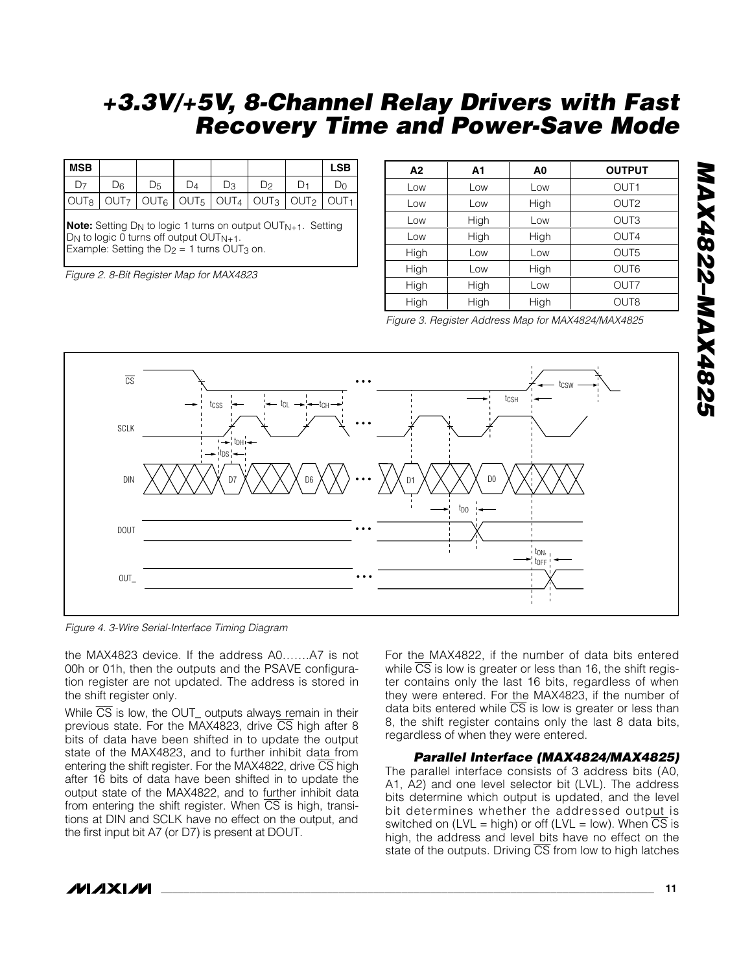| MSB |    |  |                                                                                                                                 |    | <b>LSB</b> |
|-----|----|--|---------------------------------------------------------------------------------------------------------------------------------|----|------------|
|     | )ନ |  | Dз                                                                                                                              | Dο |            |
|     |    |  | $\vert$ OUT $_8 \vert$ OUT $_7 \vert$ OUT $_6 \vert$ OUT $_5 \vert$ OUT $_4 \vert$ OUT $_3 \vert$ OUT $_2 \vert$ OUT $_1 \vert$ |    |            |

**Note:** Setting D<sub>N</sub> to logic 1 turns on output OUT<sub>N+1</sub>. Setting  $D_N$  to logic 0 turns off output OUT $_{N+1}$ . Example: Setting the  $D_2 = 1$  turns OUT<sub>3</sub> on.

*Figure 2. 8-Bit Register Map for MAX4823*

| A2   | Α1   | A <sub>0</sub> | <b>OUTPUT</b>    |
|------|------|----------------|------------------|
| Low  | Low  | Low            | OUT <sub>1</sub> |
| Low  | Low  | High           | OUT <sub>2</sub> |
| Low  | High | Low            | OUT <sub>3</sub> |
| Low  | High | High           | OUT4             |
| High | Low  | Low            | OUT <sub>5</sub> |
| High | Low  | High           | OUT6             |
| High | High | Low            | OUT7             |
| High | High | High           | OUT <sub>8</sub> |

*Figure 3. Register Address Map for MAX4824/MAX4825*



*Figure 4. 3-Wire Serial-Interface Timing Diagram*

the MAX4823 device. If the address A0…….A7 is not 00h or 01h, then the outputs and the PSAVE configuration register are not updated. The address is stored in the shift register only.

While  $\overline{CS}$  is low, the OUT outputs always remain in their previous state. For the MAX4823, drive CS high after 8 bits of data have been shifted in to update the output state of the MAX4823, and to further inhibit data from entering the shift register. For the MAX4822, drive  $\overline{CS}$  high after 16 bits of data have been shifted in to update the output state of the MAX4822, and to further inhibit data from entering the shift register. When  $\overline{CS}$  is high, transitions at DIN and SCLK have no effect on the output, and the first input bit A7 (or D7) is present at DOUT.

For the MAX4822, if the number of data bits entered while  $\overline{CS}$  is low is greater or less than 16, the shift register contains only the last 16 bits, regardless of when they were entered. For the MAX4823, if the number of data bits entered while  $\overline{CS}$  is low is greater or less than 8, the shift register contains only the last 8 data bits, regardless of when they were entered.

#### *Parallel Interface (MAX4824/MAX4825)*

The parallel interface consists of 3 address bits (A0, A1, A2) and one level selector bit (LVL). The address bits determine which output is updated, and the level bit determines whether the addressed output is switched on (LVL = high) or off (LVL = low). When  $\overline{CS}$  is high, the address and level bits have no effect on the state of the outputs. Driving  $\overline{\text{CS}}$  from low to high latches

**MAXM** 

*MAX4822–MAX4825*

**7287XVW-7287XVM**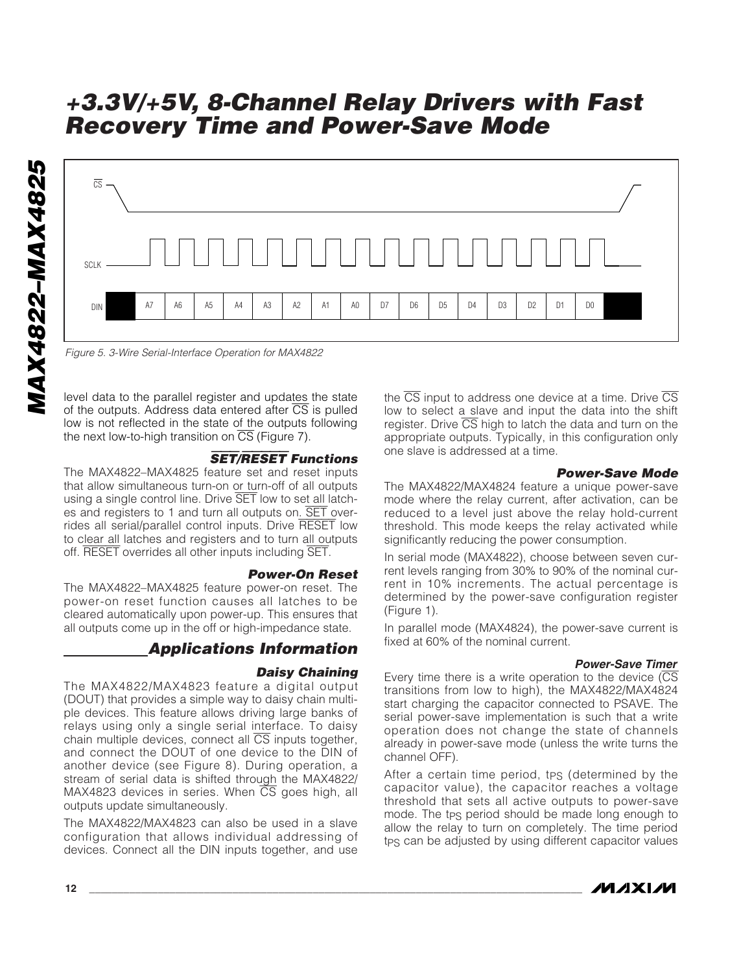

*Figure 5. 3-Wire Serial-Interface Operation for MAX4822*

level data to the parallel register and updates the state of the outputs. Address data entered after  $\overline{CS}$  is pulled low is not reflected in the state of the outputs following the next low-to-high transition on  $\overline{CS}$  (Figure 7).

#### SET/RESET *Functions*

The MAX4822–MAX4825 feature set and reset inputs that allow simultaneous turn-on or turn-off of all outputs using a single control line. Drive SET low to set all latches and registers to 1 and turn all outputs on. SET overrides all serial/parallel control inputs. Drive RESET low to clear all latches and registers and to turn all outputs off. RESET overrides all other inputs including SET.

#### *Power-On Reset*

The MAX4822–MAX4825 feature power-on reset. The power-on reset function causes all latches to be cleared automatically upon power-up. This ensures that all outputs come up in the off or high-impedance state.

## *Applications Information*

#### *Daisy Chaining*

The MAX4822/MAX4823 feature a digital output (DOUT) that provides a simple way to daisy chain multiple devices. This feature allows driving large banks of relays using only a single serial interface. To daisy chain multiple devices, connect all  $\overline{CS}$  inputs together, and connect the DOUT of one device to the DIN of another device (see Figure 8). During operation, a stream of serial data is shifted through the MAX4822/  $MAX4823$  devices in series. When  $\overline{CS}$  goes high, all outputs update simultaneously.

The MAX4822/MAX4823 can also be used in a slave configuration that allows individual addressing of devices. Connect all the DIN inputs together, and use

the  $\overline{CS}$  input to address one device at a time. Drive  $\overline{CS}$ low to select a slave and input the data into the shift register. Drive  $\overline{CS}$  high to latch the data and turn on the appropriate outputs. Typically, in this configuration only one slave is addressed at a time.

#### *Power-Save Mode*

The MAX4822/MAX4824 feature a unique power-save mode where the relay current, after activation, can be reduced to a level just above the relay hold-current threshold. This mode keeps the relay activated while significantly reducing the power consumption.

In serial mode (MAX4822), choose between seven current levels ranging from 30% to 90% of the nominal current in 10% increments. The actual percentage is determined by the power-save configuration register (Figure 1).

In parallel mode (MAX4824), the power-save current is fixed at 60% of the nominal current.

#### *Power-Save Timer*

Every time there is a write operation to the device (CS transitions from low to high), the MAX4822/MAX4824 start charging the capacitor connected to PSAVE. The serial power-save implementation is such that a write operation does not change the state of channels already in power-save mode (unless the write turns the channel OFF).

After a certain time period, tps (determined by the capacitor value), the capacitor reaches a voltage threshold that sets all active outputs to power-save mode. The tps period should be made long enough to allow the relay to turn on completely. The time period tps can be adjusted by using different capacitor values

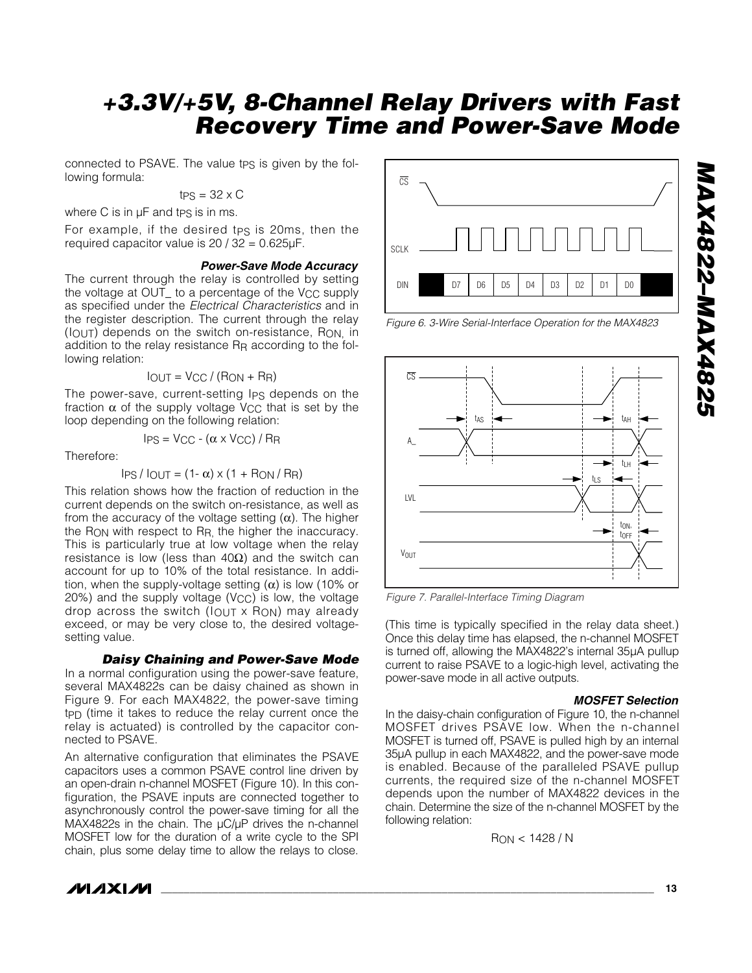connected to PSAVE. The value tps is given by the following formula:

$$
tPS = 32 \times C
$$

where  $C$  is in  $\mu$ F and tps is in ms.

For example, if the desired tps is 20ms, then the required capacitor value is 20 / 32 = 0.625µF.

#### *Power-Save Mode Accuracy*

The current through the relay is controlled by setting the voltage at OUT\_ to a percentage of the V<sub>CC</sub> supply as specified under the *Electrical Characteristics* and in the register description. The current through the relay (IOUT) depends on the switch on-resistance, RON, in addition to the relay resistance R<sub>R</sub> according to the following relation:

$$
I_{OUT} = V_{CC} / (R_{ON} + R_{R})
$$

The power-save, current-setting Ips depends on the fraction  $\alpha$  of the supply voltage V<sub>CC</sub> that is set by the loop depending on the following relation:

$$
I_{PS} = V_{CC} - (\alpha \times V_{CC}) / R_R
$$

Therefore:

$$
IPS / IOUT = (1 - \alpha) \times (1 + RON / RR)
$$

This relation shows how the fraction of reduction in the current depends on the switch on-resistance, as well as from the accuracy of the voltage setting (α). The higher the RON with respect to RR, the higher the inaccuracy. This is particularly true at low voltage when the relay resistance is low (less than 40Ω) and the switch can account for up to 10% of the total resistance. In addition, when the supply-voltage setting  $(\alpha)$  is low (10% or  $20\%$ ) and the supply voltage (V<sub>CC</sub>) is low, the voltage drop across the switch  $(1_{\text{OUT}} \times \text{RON})$  may already exceed, or may be very close to, the desired voltagesetting value.

#### *Daisy Chaining and Power-Save Mode*

In a normal configuration using the power-save feature, several MAX4822s can be daisy chained as shown in Figure 9. For each MAX4822, the power-save timing tPD (time it takes to reduce the relay current once the relay is actuated) is controlled by the capacitor connected to PSAVE.

An alternative configuration that eliminates the PSAVE capacitors uses a common PSAVE control line driven by an open-drain n-channel MOSFET (Figure 10). In this configuration, the PSAVE inputs are connected together to asynchronously control the power-save timing for all the MAX4822s in the chain. The  $\mu$ C/ $\mu$ P drives the n-channel MOSFET low for the duration of a write cycle to the SPI chain, plus some delay time to allow the relays to close.



*Figure 6. 3-Wire Serial-Interface Operation for the MAX4823*



*Figure 7. Parallel-Interface Timing Diagram*

(This time is typically specified in the relay data sheet.) Once this delay time has elapsed, the n-channel MOSFET is turned off, allowing the MAX4822's internal 35µA pullup current to raise PSAVE to a logic-high level, activating the power-save mode in all active outputs.

#### *MOSFET Selection*

In the daisy-chain configuration of Figure 10, the n-channel MOSFET drives PSAVE low. When the n-channel MOSFET is turned off, PSAVE is pulled high by an internal 35µA pullup in each MAX4822, and the power-save mode is enabled. Because of the paralleled PSAVE pullup currents, the required size of the n-channel MOSFET depends upon the number of MAX4822 devices in the chain. Determine the size of the n-channel MOSFET by the following relation:

RON < 1428 / N

*MAX4822–MAX4825* **7287XVW-2387XVM**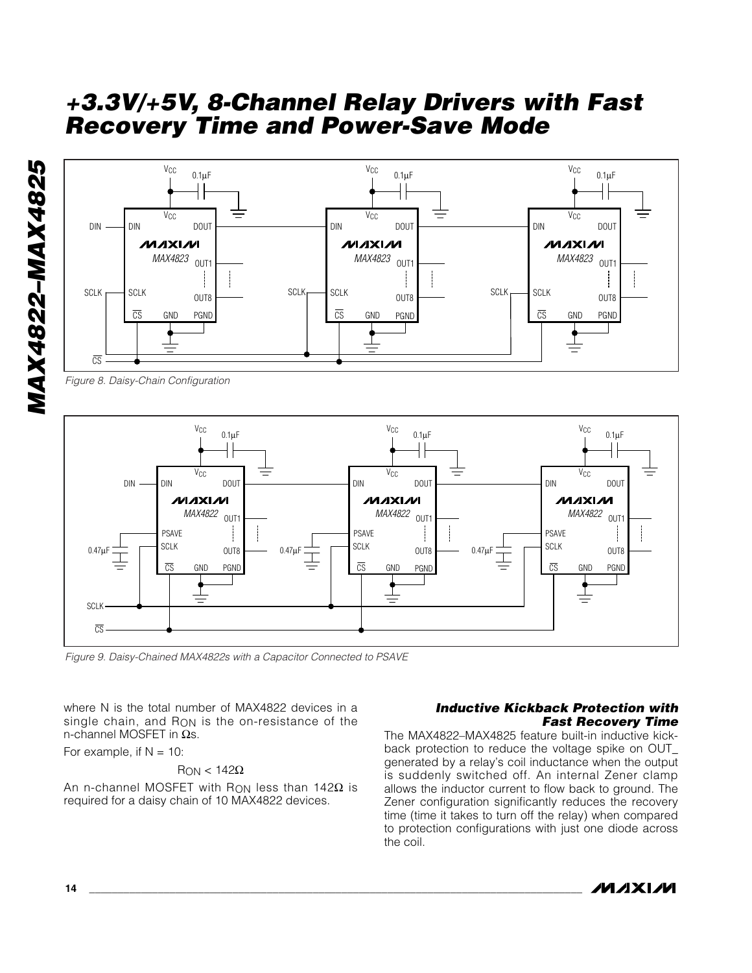

*Figure 8. Daisy-Chain Configuration*



*Figure 9. Daisy-Chained MAX4822s with a Capacitor Connected to PSAVE*

where N is the total number of MAX4822 devices in a single chain, and R<sub>ON</sub> is the on-resistance of the n-channel MOSFET in Ωs.

For example, if  $N = 10$ :

#### $R_{ON}$  < 142 $\Omega$

An n-channel MOSFET with R<sub>ON</sub> less than 142 $\Omega$  is required for a daisy chain of 10 MAX4822 devices.

#### *Inductive Kickback Protection with Fast Recovery Time*

The MAX4822–MAX4825 feature built-in inductive kickback protection to reduce the voltage spike on OUT\_ generated by a relay's coil inductance when the output is suddenly switched off. An internal Zener clamp allows the inductor current to flow back to ground. The Zener configuration significantly reduces the recovery time (time it takes to turn off the relay) when compared to protection configurations with just one diode across the coil.

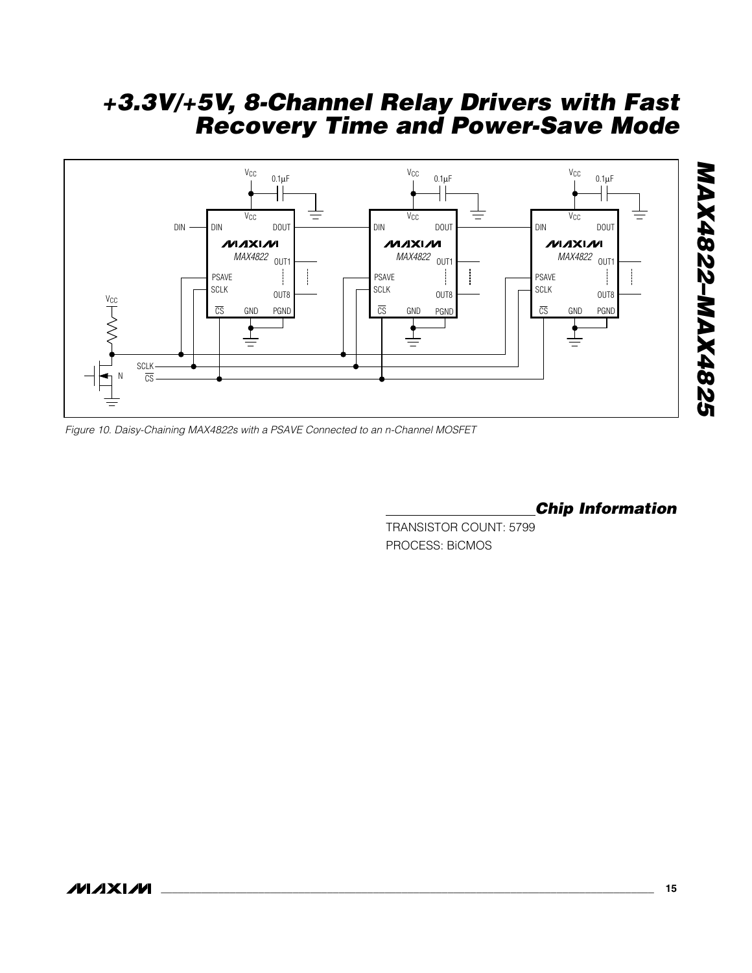

*Figure 10. Daisy-Chaining MAX4822s with a PSAVE Connected to an n-Channel MOSFET*

## *Chip Information*

TRANSISTOR COUNT: 5799 PROCESS: BiCMOS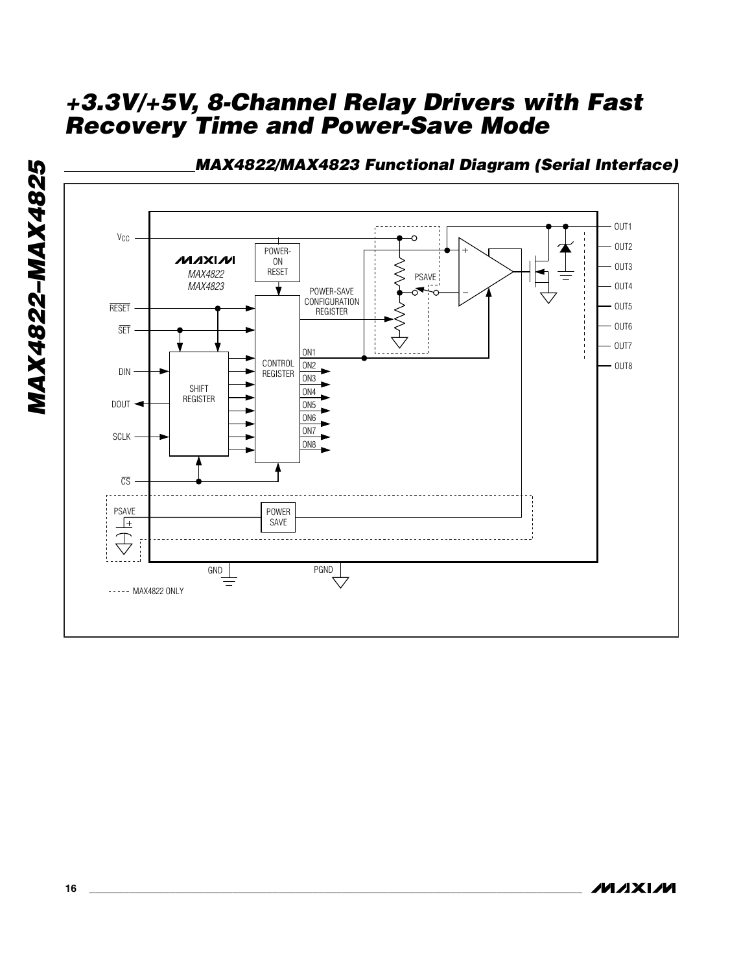

**MAX4822-MAX4825** *MAX4822–MAX4825*

**MAXM**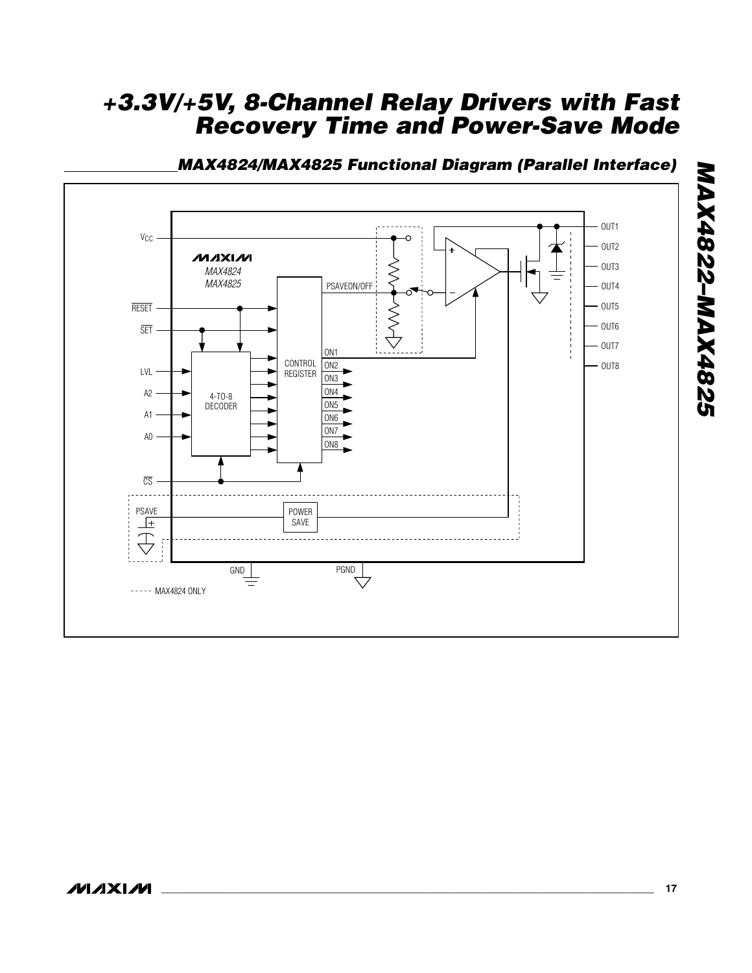

## *MAX4824/MAX4825 Functional Diagram (Parallel Interface)*

*MAX4822–MAX4825*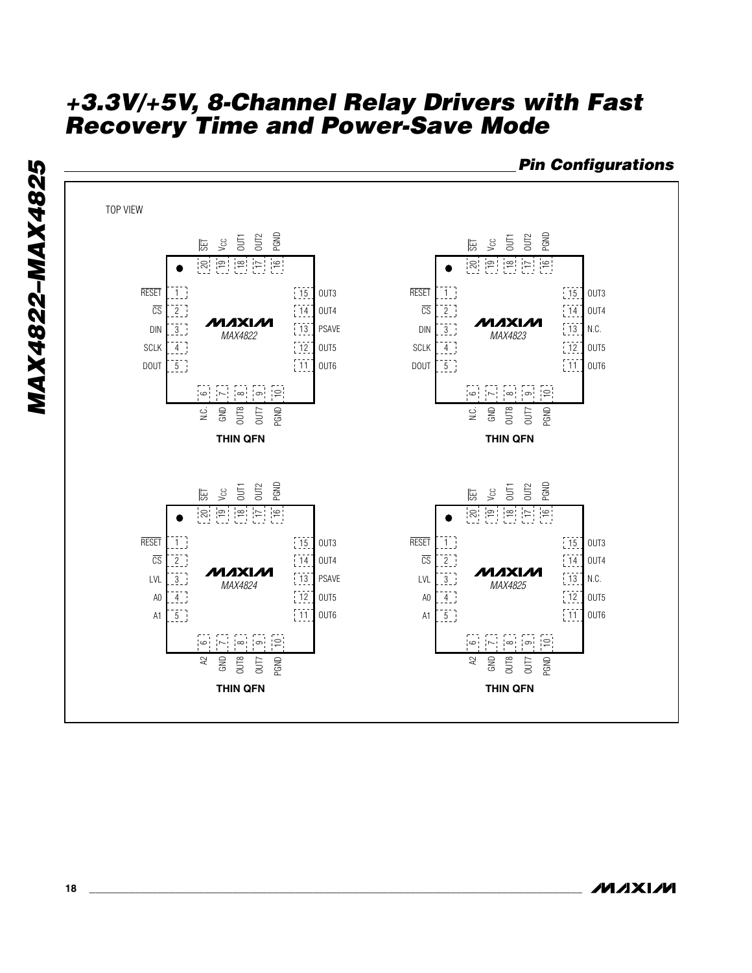